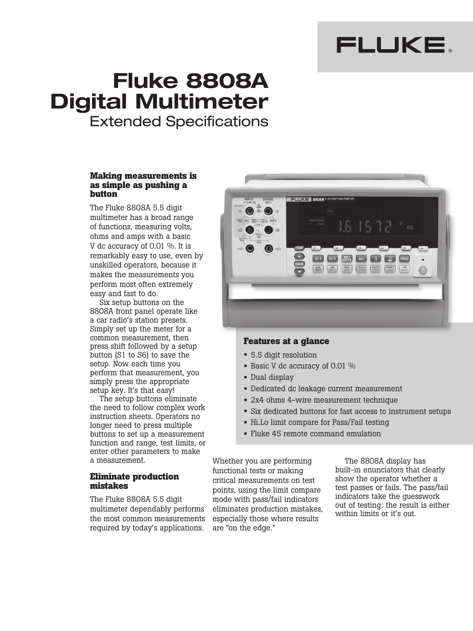# FLUKE.

# **Fluke 8808A Digital Multimeter** Extended Specifications

## **Making measurements is as simple as pushing a button**

The Fluke 8808A 5.5 digit multimeter has a broad range of functions, measuring volts, ohms and amps with a basic V dc accuracy of 0.01 %. It is remarkably easy to use, even by unskilled operators, because it makes the measurements you perform most often extremely easy and fast to do.

Six setup buttons on the 8808A front panel operate like a car radio's station presets. Simply set up the meter for a common measurement, then press shift followed by a setup button (S1 to S6) to save the setup. Now each time you perform that measurement, you simply press the appropriate setup key. It's that easy!

The setup buttons eliminate the need to follow complex work instruction sheets. Operators no longer need to press multiple buttons to set up a measurement function and range, test limits, or enter other parameters to make a measurement.

# **Eliminate production mistakes**

The Fluke 8808A 5.5 digit multimeter dependably performs the most common measurements required by today's applications.



# **Features at a glance**

- 5.5 digit resolution
- Basic V dc accuracy of 0.01 %
- Dual display
- Dedicated dc leakage current measurement
- 2x4 ohms 4-wire measurement technique
- Six dedicated buttons for fast access to instrument setups
- Hi.Lo limit compare for Pass/Fail testing
- Fluke 45 remote command emulation

Whether you are performing functional tests or making critical measurements on test points, using the limit compare mode with pass/fail indicators eliminates production mistakes, especially those where results are "on the edge."

The 8808A display has built-in enunciators that clearly show the operator whether a test passes or fails. The pass/fail indicators take the guesswork out of testing: the result is either within limits or it's out.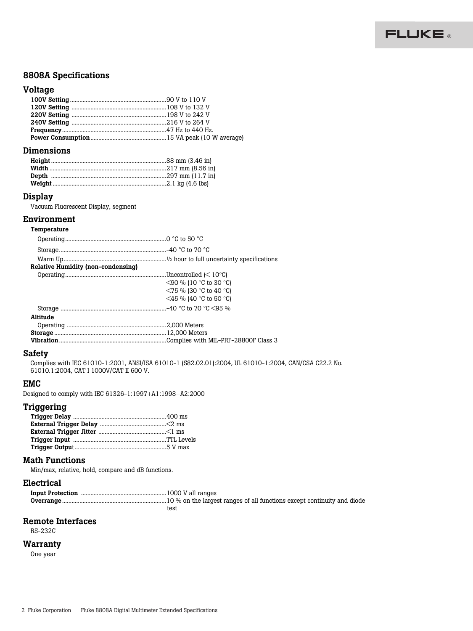

# 8808A Specifications

# **Voltage**

# Dimensions

## Display

Vacuum Fluorescent Display, segment

#### Environment Temperature

| <u>ι σπιροιαιμισ</u>                      |                                                                               |
|-------------------------------------------|-------------------------------------------------------------------------------|
|                                           |                                                                               |
|                                           |                                                                               |
|                                           |                                                                               |
| <b>Relative Humidity (non-condensing)</b> |                                                                               |
|                                           |                                                                               |
|                                           | $\leq$ 90 % (10 °C to 30 °C)                                                  |
|                                           | $\leq$ 75 % (30 °C to 40 °C)                                                  |
|                                           | $\leq$ 45 % (40 °C to 50 °C)                                                  |
|                                           |                                                                               |
| Altitude                                  |                                                                               |
|                                           |                                                                               |
|                                           |                                                                               |
|                                           | <b>Vibration</b> ………………………………………………………………Complies with MIL-PRF-28800F Class 3 |
|                                           |                                                                               |

# Safety

Complies with IEC 61010-1:2001, ANSI/ISA 61010-1 (S82.02.01):2004, UL 61010-1:2004, CAN/CSA C22.2 No. 61010.1:2004, CAT I 1000V/CAT II 600 V.

## EMC

Designed to comply with IEC 61326-1:1997+A1:1998+A2:2000

# Triggering

# Math Functions

Min/max, relative, hold, compare and dB functions.

## Electrical

| test |
|------|

# Remote Interfaces

RS-232C

# **Warranty**

One year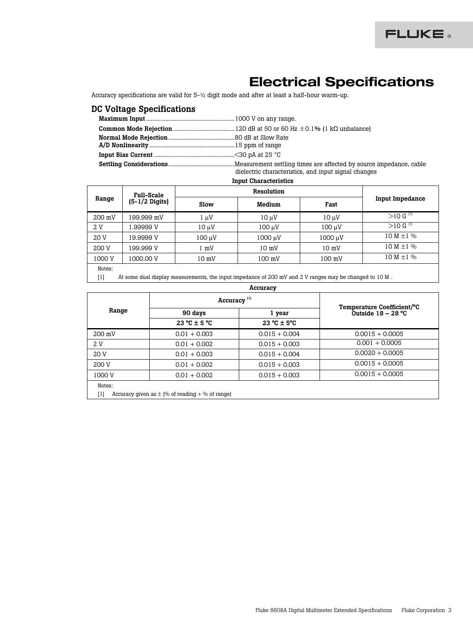# Electrical Specifications

Accuracy specifications are valid for 5-½ digit mode and after at least a half-hour warm-up.

# DC Voltage Specifications

| dielectric characteristics, and input signal changes |
|------------------------------------------------------|

Input Characteristics

|        | <b>Full-Scale</b><br>$(5-1/2 \text{ Digits})$ | Resolution      |                 |                 |                        |
|--------|-----------------------------------------------|-----------------|-----------------|-----------------|------------------------|
| Range  |                                               | <b>Slow</b>     | Medium          | Fast            | <b>Input Impedance</b> |
| 200 mV | 199.999 mV                                    | μV              | $10 \mu V$      | $10 \mu V$      | $>10 G$ <sup>[1]</sup> |
| 2 V    | 1.99999 V                                     | $10 \mu V$      | 100 uV          | 100 µV          | $>10 G$ <sup>[1]</sup> |
| 20 V   | 19.9999 V                                     | $100 \mu V$     | 1000 µV         | 1000 µV         | 10 M $\pm$ 1 %         |
| 200 V  | 199.999 V                                     | $1 \text{ mV}$  | $10 \text{ mV}$ | $10 \text{ mV}$ | $10 M \pm 1 \%$        |
| 1000 V | 1000.00 V                                     | $10 \text{ mV}$ | 100 mV          | 100 mV          | $10 M \pm 1 \%$        |
| Notes: |                                               |                 |                 |                 |                        |

[1] At some dual display measurements, the input impedance of 200 mV and 2 V ranges may be changed to 10 M .

#### Accuracy

|                  | Accuracy <sup>[1]</sup>                             |                                  |                                                    |
|------------------|-----------------------------------------------------|----------------------------------|----------------------------------------------------|
| Range            | 90 days                                             | 1 year                           | Temperature Coefficient/°C<br>Outside $18 - 28$ °C |
|                  | $23 \text{ °C} \pm 5 \text{ °C}$                    | $23 \text{ °C} \pm 5 \text{ °C}$ |                                                    |
| $200 \text{ mV}$ | $0.01 + 0.003$                                      | $0.015 + 0.004$                  | $0.0015 + 0.0005$                                  |
| 2 V              | $0.01 + 0.002$                                      | $0.015 + 0.003$                  | $0.001 + 0.0005$                                   |
| 20 V             | $0.01 + 0.003$                                      | $0.015 + 0.004$                  | $0.0020 + 0.0005$                                  |
| 200 V            | $0.01 + 0.002$                                      | $0.015 + 0.003$                  | $0.0015 + 0.0005$                                  |
| 1000 V           | $0.01 + 0.002$                                      | $0.015 + 0.003$                  | $0.0015 + 0.0005$                                  |
| Notes:<br>$[1]$  | Accuracy given as $\pm$ (% of reading + % of range) |                                  |                                                    |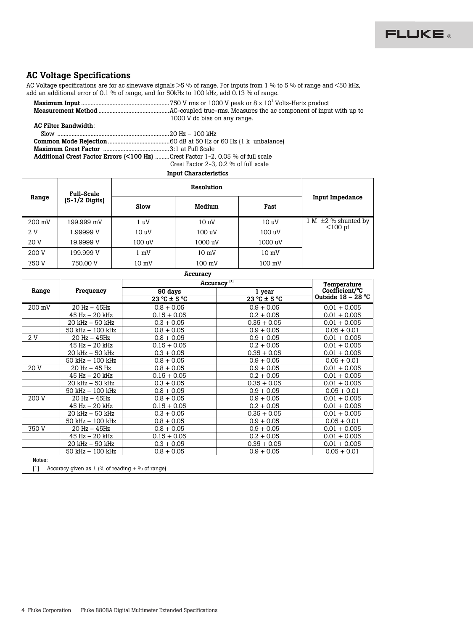

# AC Voltage Specifications

AC Voltage specifications are for ac sinewave signals >5 % of range. For inputs from 1 % to 5 % of range and <50 kHz, add an additional error of 0.1 % of range, and for 50kHz to 100 kHz, add 0.13 % of range.

|                                                                                 | 1000 V dc bias on any range.          |
|---------------------------------------------------------------------------------|---------------------------------------|
| AC Filter Bandwidth:                                                            |                                       |
|                                                                                 |                                       |
|                                                                                 |                                       |
|                                                                                 |                                       |
| Additional Crest Factor Errors (<100 Hz) Crest Factor 1-2, 0.05 % of full scale |                                       |
|                                                                                 | Crest Factor 2-3, 0.2 % of full scale |
|                                                                                 |                                       |

## Input Characteristics

|        | <b>Full-Scale</b>        | Resolution        |                 |                 |                          |
|--------|--------------------------|-------------------|-----------------|-----------------|--------------------------|
| Range  | $(5-1/2 \text{ Digits})$ | Slow              | Medium          | <b>Fast</b>     | <b>Input Impedance</b>   |
| 200 mV | 199.999 mV               | 1 uV              | 10 <sub>u</sub> | 10 <sub>u</sub> | 1 M $\pm$ 2 % shunted by |
| 2 V    | .99999 V                 | 10 <sub>u</sub> V | 100 uV          | 100 uV          | $<$ 100 pf               |
| 20 V   | 19.9999 V                | 100 uV            | 1000 uV         | 1000 uV         |                          |
| 200 V  | 199.999 V                | l mV              | $10 \text{ mV}$ | $10 \text{ mV}$ |                          |
| 750 V  | 750.00 V                 | $10 \text{ mV}$   | 100 mV          | 100 mV          |                          |

## Accuracy

|                                                              |                     | Accuracy <sup>[1]</sup>   |               | Temperature          |
|--------------------------------------------------------------|---------------------|---------------------------|---------------|----------------------|
| Range                                                        | Frequency           | 90 days                   | 1 year        | Coefficient/°C       |
|                                                              |                     | $23^{\circ}$ C $\pm$ 5 °C | 23 °C ± 5 °C  | Outside $18 - 28$ °C |
| 200 mV                                                       | 20 Hz - 45Hz        | $0.8 + 0.05$              | $0.9 + 0.05$  | $0.01 + 0.005$       |
|                                                              | 45 Hz - 20 kHz      | $0.15 + 0.05$             | $0.2 + 0.05$  | $0.01 + 0.005$       |
|                                                              | $20$ kHz $-50$ kHz  | $0.3 + 0.05$              | $0.35 + 0.05$ | $0.01 + 0.005$       |
|                                                              | 50 kHz - 100 kHz    | $0.8 + 0.05$              | $0.9 + 0.05$  | $0.05 + 0.01$        |
| 2 V                                                          | $20$ Hz $-$ 45Hz    | $0.8 + 0.05$              | $0.9 + 0.05$  | $0.01 + 0.005$       |
|                                                              | 45 Hz - 20 kHz      | $0.15 + 0.05$             | $0.2 + 0.05$  | $0.01 + 0.005$       |
|                                                              | 20 kHz - 50 kHz     | $0.3 + 0.05$              | $0.35 + 0.05$ | $0.01 + 0.005$       |
|                                                              | 50 kHz - 100 kHz    | $0.8 + 0.05$              | $0.9 + 0.05$  | $0.05 + 0.01$        |
| 20 V                                                         | 20 Hz - 45 Hz       | $0.8 + 0.05$              | $0.9 + 0.05$  | $0.01 + 0.005$       |
|                                                              | 45 Hz - 20 kHz      | $0.15 + 0.05$             | $0.2 + 0.05$  | $0.01 + 0.005$       |
|                                                              | $20$ kHz $-50$ kHz  | $0.3 + 0.05$              | $0.35 + 0.05$ | $0.01 + 0.005$       |
|                                                              | 50 kHz - 100 kHz    | $0.8 + 0.05$              | $0.9 + 0.05$  | $0.05 + 0.01$        |
| 200 V                                                        | $20$ Hz $-$ 45Hz    | $0.8 + 0.05$              | $0.9 + 0.05$  | $0.01 + 0.005$       |
|                                                              | 45 Hz - 20 kHz      | $0.15 + 0.05$             | $0.2 + 0.05$  | $0.01 + 0.005$       |
|                                                              | 20 kHz - 50 kHz     | $0.3 + 0.05$              | $0.35 + 0.05$ | $0.01 + 0.005$       |
|                                                              | 50 kHz - 100 kHz    | $0.8 + 0.05$              | $0.9 + 0.05$  | $0.05 + 0.01$        |
| 750 V                                                        | $20$ Hz $-$ 45Hz    | $0.8 + 0.05$              | $0.9 + 0.05$  | $0.01 + 0.005$       |
|                                                              | 45 Hz - 20 kHz      | $0.15 + 0.05$             | $0.2 + 0.05$  | $0.01 + 0.005$       |
|                                                              | 20 kHz - 50 kHz     | $0.3 + 0.05$              | $0.35 + 0.05$ | $0.01 + 0.005$       |
|                                                              | $50$ kHz $-100$ kHz | $0.8 + 0.05$              | $0.9 + 0.05$  | $0.05 + 0.01$        |
| Notes:                                                       |                     |                           |               |                      |
| Accuracy given as $\pm$ (% of reading + % of range)<br>$[1]$ |                     |                           |               |                      |
|                                                              |                     |                           |               |                      |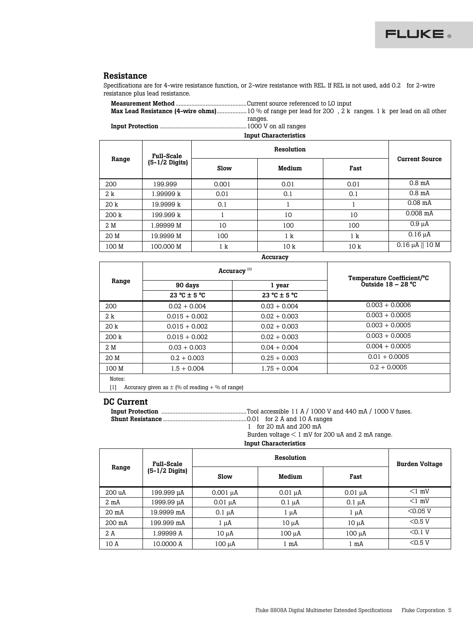

# Resistance

Specifications are for 4-wire resistance function, or 2-wire resistance with REL. If REL is not used, add 0.2 for 2-wire resistance plus lead resistance.

| ranges.                      |
|------------------------------|
|                              |
| <b>Input Characteristics</b> |

|       | <b>Full-Scale</b>        | Resolution |                 |                 |                       |
|-------|--------------------------|------------|-----------------|-----------------|-----------------------|
| Range | $(5-1/2 \text{ Digits})$ | Slow       | Medium          | Fast            | <b>Current Source</b> |
| 200   | 199.999                  | 0.001      | 0.01            | 0.01            | $0.8 \text{ mA}$      |
| 2 k   | 1.99999 k                | 0.01       | 0.1             | 0.1             | $0.8 \text{ mA}$      |
| 20k   | 19.9999 k                | 0.1        |                 |                 | $0.08$ mA             |
| 200 k | 199.999 k                |            | 10              | 10              | $0.008$ mA            |
| 2 M   | 1.99999 M                | 10         | 100             | 100             | $0.9 \mu A$           |
| 20 M  | 19.9999 M                | 100        | 1 k             | 1 k             | $0.16 \mu A$          |
| 100 M | 100.000 M                | 1 k        | 10 <sub>k</sub> | 10 <sub>k</sub> | $0.16 \mu A    10 M$  |

Accuracy

|        |                                 | Accuracy <sup>[1]</sup>         |                                                    |
|--------|---------------------------------|---------------------------------|----------------------------------------------------|
| Range  | 90 days                         | 1 year                          | Temperature Coefficient/°C<br>Outside $18 - 28$ °C |
|        | $23^{\circ}$ C ± 5 $^{\circ}$ C | $23^{\circ}$ C ± 5 $^{\circ}$ C |                                                    |
| 200    | $0.02 + 0.004$                  | $0.03 + 0.004$                  | $0.003 + 0.0006$                                   |
| 2 k    | $0.015 + 0.002$                 | $0.02 + 0.003$                  | $0.003 + 0.0005$                                   |
| 20 k   | $0.015 + 0.002$                 | $0.02 + 0.003$                  | $0.003 + 0.0005$                                   |
| 200 k  | $0.015 + 0.002$                 | $0.02 + 0.003$                  | $0.003 + 0.0005$                                   |
| 2 M    | $0.03 + 0.003$                  | $0.04 + 0.004$                  | $0.004 + 0.0005$                                   |
| 20 M   | $0.2 + 0.003$                   | $0.25 + 0.003$                  | $0.01 + 0.0005$                                    |
| 100 M  | $1.5 + 0.004$                   | $1.75 + 0.004$                  | $0.2 + 0.0005$                                     |
| Notes: |                                 |                                 |                                                    |

[1] Accuracy given as  $\pm$  (% of reading + % of range)

## DC Current

Input Protection ......................................................Tool accessible 11 A / 1000 V and 440 mA / 1000 V fuses.

Shunt Resistance .....................................................0.01 for 2 A and 10 A ranges

1 for 20 mA and 200 mA

Burden voltage < 1 mV for 200 uA and 2 mA range.

Input Characteristics

|                  | <b>Full-Scale</b>        | Resolution    |              |              | <b>Burden Voltage</b> |
|------------------|--------------------------|---------------|--------------|--------------|-----------------------|
| Range            | $(5-1/2 \text{ Digits})$ | Slow          | Medium       | Fast         |                       |
| 200 uA           | 199.999 µA               | $0.001 \mu A$ | $0.01 \mu A$ | $0.01 \mu A$ | $<1$ mV               |
| $2 \text{ mA}$   | 1999.99 µA               | $0.01 \mu A$  | $0.1 \mu A$  | $0.1 \mu A$  | $<1$ mV               |
| $20 \text{ mA}$  | 19.9999 mA               | $0.1 \mu A$   | 1 µA         | 1 µA         | $<$ 0.05 V            |
| $200 \text{ mA}$ | 199.999 mA               | 1 µA          | 10 µA        | 10 uA        | $<$ 0.5 V             |
| 2 A              | 1.99999 A                | $10 \mu A$    | 100 µA       | 100 µA       | < 0.1 V               |
| 10 A             | 10.0000 A                | 100 µA        | 1 mA         | 1 mA         | $<$ 0.5 V             |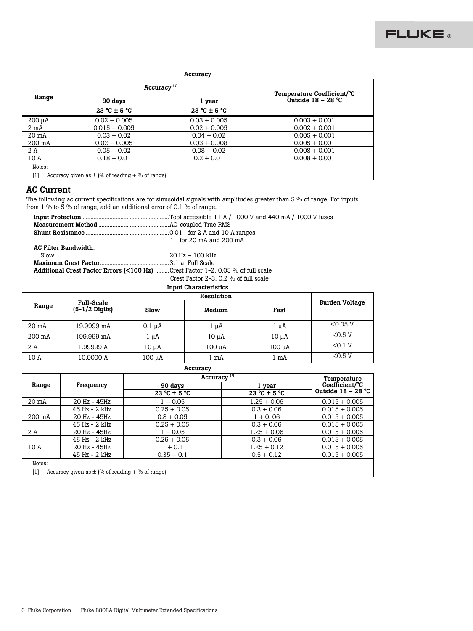

#### **Accuracy**

|                 | Accuracy <sup>[1]</sup> | Temperature Coefficient/°C |                      |
|-----------------|-------------------------|----------------------------|----------------------|
| Range           | 90 days<br>1 year       |                            | Outside $18 - 28$ °C |
|                 | $23 °C \pm 5 °C$        | $23 °C \pm 5 °C$           |                      |
| 200 µA          | $0.02 + 0.005$          | $0.03 + 0.005$             | $0.003 + 0.001$      |
| $2 \text{ mA}$  | $0.015 + 0.005$         | $0.02 + 0.005$             | $0.002 + 0.001$      |
| $20 \text{ mA}$ | $0.03 + 0.02$           | $0.04 + 0.02$              | $0.005 + 0.001$      |
| 200 mA          | $0.02 + 0.005$          | $0.03 + 0.008$             | $0.005 + 0.001$      |
| 2 A             | $0.05 + 0.02$           | $0.08 + 0.02$              | $0.008 + 0.001$      |
| 10 A            | $0.18 + 0.01$           | $0.2 + 0.01$               | $0.008 + 0.001$      |

# AC Current

The following ac current specifications are for sinusoidal signals with amplitudes greater than 5 % of range. For inputs from 1 % to 5 % of range, add an additional error of 0.1 % of range.

|                             | 1 for 20 $mA$ and 200 $mA$ |  |  |
|-----------------------------|----------------------------|--|--|
| <b>AC Filter Bandwidth:</b> |                            |  |  |
|                             |                            |  |  |
|                             |                            |  |  |
|                             |                            |  |  |

Additional Crest Factor Errors (<100 Hz) .........Crest Factor 1-2, 0.05 % of full scale

Crest Factor 2-3, 0.2 % of full scale

# Input Characteristics

|                   |                                               | Resolution  |            |        |                       |
|-------------------|-----------------------------------------------|-------------|------------|--------|-----------------------|
| Range             | <b>Full-Scale</b><br>$(5-1/2 \text{ Digits})$ | Slow        | Medium     | Fast   | <b>Burden Voltage</b> |
| 20 <sub>m</sub> A | 19.9999 mA                                    | $0.1 \mu A$ | 1 µA       | 1 uA   | $<$ 0.05 V            |
| 200 mA            | 199.999 mA                                    | l µA        | $10 \mu A$ | 10 uA  | $<$ 0.5 V             |
| 2 A               | l.99999 A                                     | 10 uA       | 100 µA     | 100 µA | < 0.1 V               |
| 10 A              | 10.0000 A                                     | 100 µA      | l mA       | 1 mA   | $<$ 0.5 V             |
| Accuracy          |                                               |             |            |        |                       |

| Accuracy          |                                                     |                         |                  |                      |  |
|-------------------|-----------------------------------------------------|-------------------------|------------------|----------------------|--|
|                   |                                                     | Accuracy <sup>[1]</sup> | Temperature      |                      |  |
| Range             | Frequency                                           | 90 days                 | 1 vear           | Coefficient/°C       |  |
|                   |                                                     | $23 °C \pm 5 °C$        | $23 °C \pm 5 °C$ | Outside $18 - 28$ °C |  |
| 20 <sub>m</sub> A | $20$ Hz - $45$ Hz                                   | $1 + 0.05$              | $1.25 + 0.06$    | $0.015 + 0.005$      |  |
|                   | 45 Hz - 2 kHz                                       | $0.25 + 0.05$           | $0.3 + 0.06$     | $0.015 + 0.005$      |  |
| 200 mA            | 20 Hz - 45Hz                                        | $0.8 + 0.05$            | $1 + 0.06$       | $0.015 + 0.005$      |  |
|                   | $45$ Hz $-$ 2 kHz                                   | $0.25 + 0.05$           | $0.3 + 0.06$     | $0.015 + 0.005$      |  |
| 2 A               | $20$ Hz - $45$ Hz                                   | $1 + 0.05$              | $1.25 + 0.06$    | $0.015 + 0.005$      |  |
|                   | $45$ Hz $-$ 2 kHz                                   | $0.25 + 0.05$           | $0.3 + 0.06$     | $0.015 + 0.005$      |  |
| 10 A              | 20 Hz - 45Hz                                        | $1 + 0.1$               | $1.25 + 0.12$    | $0.015 + 0.005$      |  |
|                   | 45 Hz - 2 kHz                                       | $0.35 + 0.1$            | $0.5 + 0.12$     | $0.015 + 0.005$      |  |
| Notes:            |                                                     |                         |                  |                      |  |
| $[1]$             | Accuracy given as $\pm$ (% of reading + % of range) |                         |                  |                      |  |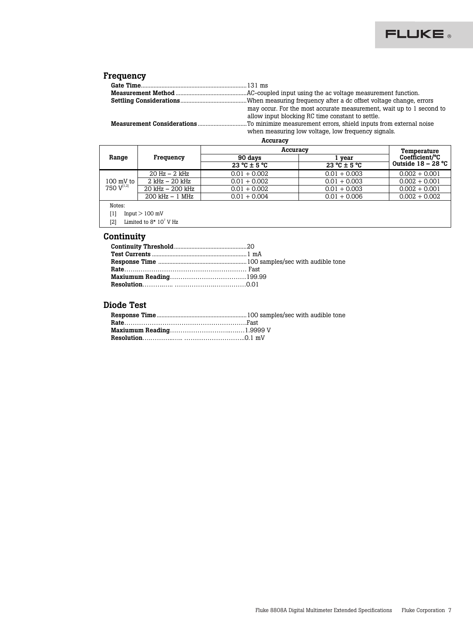

# Frequency

|  | may occur. For the most accurate measurement, wait up to 1 second to<br>allow input blocking RC time constant to settle. |
|--|--------------------------------------------------------------------------------------------------------------------------|
|  |                                                                                                                          |
|  | when measuring low voltage, low frequency signals.                                                                       |

Accuracy

|                                               |                     | Accuracy                        | Temperature                      |                      |
|-----------------------------------------------|---------------------|---------------------------------|----------------------------------|----------------------|
| Range                                         | Frequency           | 90 days                         | vear                             | Coefficient/°C       |
|                                               |                     | $23^{\circ}$ C ± 5 $^{\circ}$ C | $23 \text{ °C} \pm 5 \text{ °C}$ | Outside $18 - 28$ °C |
|                                               | $20$ Hz $-$ 2 kHz   | $0.01 + 0.002$                  | $0.01 + 0.003$                   | $0.002 + 0.001$      |
| $100 \text{ mV}$ to<br>750 V <sup>[1,2]</sup> | $2$ kHz $-$ 20 kHz  | $0.01 + 0.002$                  | $0.01 + 0.003$                   | $0.002 + 0.001$      |
|                                               | $20$ kHz $ 200$ kHz | $0.01 + 0.002$                  | $0.01 + 0.003$                   | $0.002 + 0.001$      |
|                                               | $200$ kHz $-1$ MHz  | $0.01 + 0.004$                  | $0.01 + 0.006$                   | $0.002 + 0.002$      |
| Notes:                                        |                     |                                 |                                  |                      |
| $^{[1]}$                                      | Input $> 100$ mV    |                                 |                                  |                      |

[2] Limited to  $8*10^7$  V Hz

# **Continuity**

# Diode Test